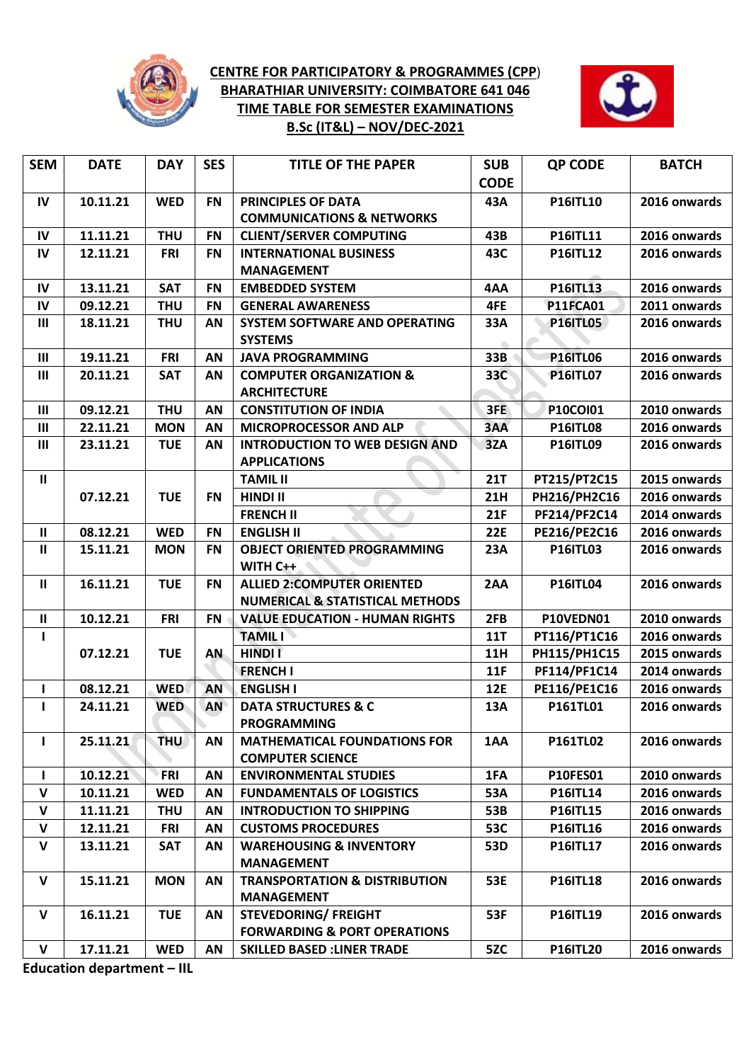

## **CENTRE FOR PARTICIPATORY & PROGRAMMES (CPP**) **BHARATHIAR UNIVERSITY: COIMBATORE 641 046 TIME TABLE FOR SEMESTER EXAMINATIONS B.Sc (IT&L) – NOV/DEC-2021**



| <b>SEM</b>         | <b>DATE</b> | <b>DAY</b> | <b>SES</b> | <b>TITLE OF THE PAPER</b>                                                       | <b>SUB</b><br><b>CODE</b> | <b>QP CODE</b>      | <b>BATCH</b> |
|--------------------|-------------|------------|------------|---------------------------------------------------------------------------------|---------------------------|---------------------|--------------|
| IV                 | 10.11.21    | <b>WED</b> | <b>FN</b>  | PRINCIPLES OF DATA<br><b>COMMUNICATIONS &amp; NETWORKS</b>                      | 43A                       | <b>P16ITL10</b>     | 2016 onwards |
| IV                 | 11.11.21    | <b>THU</b> | <b>FN</b>  | <b>CLIENT/SERVER COMPUTING</b>                                                  | 43B                       | P16ITL11            | 2016 onwards |
| IV                 | 12.11.21    | <b>FRI</b> | <b>FN</b>  | <b>INTERNATIONAL BUSINESS</b><br><b>MANAGEMENT</b>                              | 43C                       | <b>P16ITL12</b>     | 2016 onwards |
| IV                 | 13.11.21    | <b>SAT</b> | <b>FN</b>  | <b>EMBEDDED SYSTEM</b>                                                          | 4AA                       | <b>P16ITL13</b>     | 2016 onwards |
| $\mathsf{IV}$      | 09.12.21    | <b>THU</b> | <b>FN</b>  | <b>GENERAL AWARENESS</b>                                                        | 4FE                       | <b>P11FCA01</b>     | 2011 onwards |
| $\mathbf{III}$     | 18.11.21    | <b>THU</b> | AN         | SYSTEM SOFTWARE AND OPERATING<br><b>SYSTEMS</b>                                 | 33A                       | <b>P16ITL05</b>     | 2016 onwards |
| $\mathbf{III}$     | 19.11.21    | <b>FRI</b> | AN         | <b>JAVA PROGRAMMING</b>                                                         | 33B                       | <b>P16ITL06</b>     | 2016 onwards |
| Ш                  | 20.11.21    | <b>SAT</b> | AN         | <b>COMPUTER ORGANIZATION &amp;</b><br><b>ARCHITECTURE</b>                       | 33C                       | <b>P16ITL07</b>     | 2016 onwards |
| $\mathbf{III}$     | 09.12.21    | <b>THU</b> | AN         | <b>CONSTITUTION OF INDIA</b>                                                    | 3FE                       | <b>P10COI01</b>     | 2010 onwards |
| $\mathbf{III}$     | 22.11.21    | <b>MON</b> | AN         | MICROPROCESSOR AND ALP                                                          | 3AA                       | <b>P16ITL08</b>     | 2016 onwards |
| $\mathbf{III}$     | 23.11.21    | <b>TUE</b> | AN         | <b>INTRODUCTION TO WEB DESIGN AND</b><br><b>APPLICATIONS</b>                    | 3ZA                       | <b>P16ITL09</b>     | 2016 onwards |
| $\mathbf{II}$      |             |            |            | <b>TAMIL II</b>                                                                 | <b>21T</b>                | PT215/PT2C15        | 2015 onwards |
|                    | 07.12.21    | <b>TUE</b> | <b>FN</b>  | <b>HINDI II</b>                                                                 | <b>21H</b>                | PH216/PH2C16        | 2016 onwards |
|                    |             |            |            | <b>FRENCH II</b>                                                                | 21F                       | PF214/PF2C14        | 2014 onwards |
| $\mathbf{II}$      | 08.12.21    | <b>WED</b> | <b>FN</b>  | <b>ENGLISH II</b>                                                               | <b>22E</b>                | <b>PE216/PE2C16</b> | 2016 onwards |
| $\mathbf{II}$      | 15.11.21    | <b>MON</b> | <b>FN</b>  | <b>OBJECT ORIENTED PROGRAMMING</b><br>WITH C++                                  | 23A                       | <b>P16ITL03</b>     | 2016 onwards |
| $\mathbf{II}$      | 16.11.21    | <b>TUE</b> | <b>FN</b>  | <b>ALLIED 2:COMPUTER ORIENTED</b><br><b>NUMERICAL &amp; STATISTICAL METHODS</b> | 2AA                       | <b>P16ITL04</b>     | 2016 onwards |
| $\mathbf{II}$      | 10.12.21    | <b>FRI</b> | <b>FN</b>  | <b>VALUE EDUCATION - HUMAN RIGHTS</b>                                           | 2FB                       | P10VEDN01           | 2010 onwards |
| ı                  |             |            |            | <b>TAMILI</b>                                                                   | <b>11T</b>                | PT116/PT1C16        | 2016 onwards |
|                    | 07.12.21    | <b>TUE</b> | AN         | <b>HINDIT</b>                                                                   | <b>11H</b>                | PH115/PH1C15        | 2015 onwards |
|                    |             |            |            | <b>FRENCH I</b>                                                                 | 11F                       | PF114/PF1C14        | 2014 onwards |
| L                  | 08.12.21    | <b>WED</b> | AN         | <b>ENGLISH I</b>                                                                | <b>12E</b>                | PE116/PE1C16        | 2016 onwards |
| ı                  | 24.11.21    | <b>WED</b> | AN         | <b>DATA STRUCTURES &amp; C</b><br><b>PROGRAMMING</b>                            | 13A                       | P161TL01            | 2016 onwards |
| L                  | 25.11.21    | <b>THU</b> | ΑN         | <b>MATHEMATICAL FOUNDATIONS FOR</b><br><b>COMPUTER SCIENCE</b>                  | 1AA                       | P161TL02            | 2016 onwards |
| I.                 | 10.12.21    | FRI        | AN         | <b>ENVIRONMENTAL STUDIES</b>                                                    | 1FA                       | <b>P10FES01</b>     | 2010 onwards |
| $\mathsf{v}$       | 10.11.21    | <b>WED</b> | AN         | <b>FUNDAMENTALS OF LOGISTICS</b>                                                | 53A                       | <b>P16ITL14</b>     | 2016 onwards |
| V                  | 11.11.21    | <b>THU</b> | AN         | <b>INTRODUCTION TO SHIPPING</b>                                                 | 53B                       | <b>P16ITL15</b>     | 2016 onwards |
| V                  | 12.11.21    | <b>FRI</b> | ΑN         | <b>CUSTOMS PROCEDURES</b>                                                       | 53C                       | <b>P16ITL16</b>     | 2016 onwards |
| $\pmb{\mathsf{V}}$ | 13.11.21    | <b>SAT</b> | ΑN         | <b>WAREHOUSING &amp; INVENTORY</b><br><b>MANAGEMENT</b>                         | 53D                       | <b>P16ITL17</b>     | 2016 onwards |
| V                  | 15.11.21    | <b>MON</b> | AN         | <b>TRANSPORTATION &amp; DISTRIBUTION</b><br><b>MANAGEMENT</b>                   | 53E                       | <b>P16ITL18</b>     | 2016 onwards |
| $\mathsf{v}$       | 16.11.21    | <b>TUE</b> | ΑN         | <b>STEVEDORING/ FREIGHT</b><br><b>FORWARDING &amp; PORT OPERATIONS</b>          | 53F                       | <b>P16ITL19</b>     | 2016 onwards |
| V                  | 17.11.21    | <b>WED</b> | AN         | <b>SKILLED BASED : LINER TRADE</b>                                              | 5ZC                       | <b>P16ITL20</b>     | 2016 onwards |
|                    |             |            |            |                                                                                 |                           |                     |              |

**Education department – IIL**